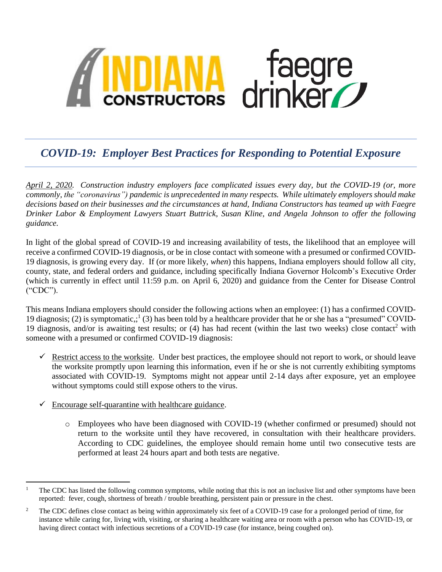

## *COVID-19: Employer Best Practices for Responding to Potential Exposure*

*April 2, 2020. Construction industry employers face complicated issues every day, but the COVID-19 (or, more commonly, the "coronavirus") pandemic is unprecedented in many respects. While ultimately employers should make decisions based on their businesses and the circumstances at hand, Indiana Constructors has teamed up with Faegre Drinker Labor & Employment Lawyers Stuart Buttrick, Susan Kline, and Angela Johnson to offer the following guidance.* 

In light of the global spread of COVID-19 and increasing availability of tests, the likelihood that an employee will receive a confirmed COVID-19 diagnosis, or be in close contact with someone with a presumed or confirmed COVID-19 diagnosis, is growing every day. If (or more likely, *when*) this happens, Indiana employers should follow all city, county, state, and federal orders and guidance, including specifically Indiana Governor Holcomb's Executive Order (which is currently in effect until 11:59 p.m. on April 6, 2020) and guidance from the Center for Disease Control ("CDC").

This means Indiana employers should consider the following actions when an employee: (1) has a confirmed COVID-19 diagnosis; (2) is symptomatic,;<sup>1</sup> (3) has been told by a healthcare provider that he or she has a "presumed" COVID-19 diagnosis, and/or is awaiting test results; or (4) has had recent (within the last two weeks) close contact<sup>2</sup> with someone with a presumed or confirmed COVID-19 diagnosis:

- $\checkmark$  Restrict access to the worksite. Under best practices, the employee should not report to work, or should leave the worksite promptly upon learning this information, even if he or she is not currently exhibiting symptoms associated with COVID-19. Symptoms might not appear until 2-14 days after exposure, yet an employee without symptoms could still expose others to the virus.
- $\checkmark$  Encourage self-quarantine with healthcare guidance.
	- o Employees who have been diagnosed with COVID-19 (whether confirmed or presumed) should not return to the worksite until they have recovered, in consultation with their healthcare providers. According to CDC guidelines, the employee should remain home until two consecutive tests are performed at least 24 hours apart and both tests are negative.

 $\,1$ <sup>1</sup> The CDC has listed the following common symptoms, while noting that this is not an inclusive list and other symptoms have been reported: fever, cough, shortness of breath / trouble breathing, persistent pain or pressure in the chest.

<sup>&</sup>lt;sup>2</sup> The CDC defines close contact as being within approximately six feet of a COVID-19 case for a prolonged period of time, for instance while caring for, living with, visiting, or sharing a healthcare waiting area or room with a person who has COVID-19, or having direct contact with infectious secretions of a COVID-19 case (for instance, being coughed on).